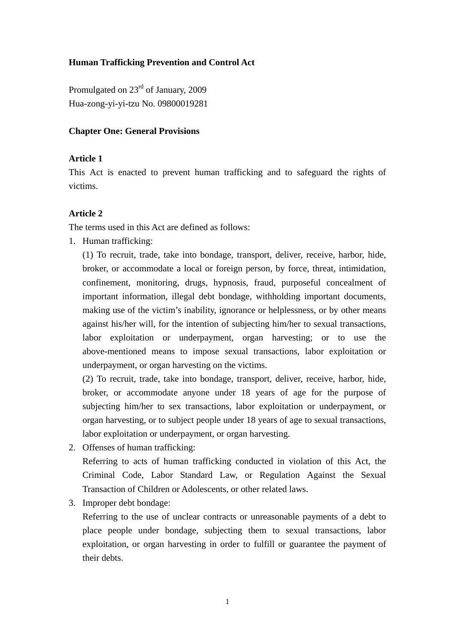### **Human Trafficking Prevention and Control Act**

Promulgated on 23rd of January, 2009 Hua-zong-yi-yi-tzu No. 09800019281

#### **Chapter One: General Provisions**

#### **Article 1**

This Act is enacted to prevent human trafficking and to safeguard the rights of victims.

#### **Article 2**

The terms used in this Act are defined as follows:

1. Human trafficking:

(1) To recruit, trade, take into bondage, transport, deliver, receive, harbor, hide, broker, or accommodate a local or foreign person, by force, threat, intimidation, confinement, monitoring, drugs, hypnosis, fraud, purposeful concealment of important information, illegal debt bondage, withholding important documents, making use of the victim's inability, ignorance or helplessness, or by other means against his/her will, for the intention of subjecting him/her to sexual transactions, labor exploitation or underpayment, organ harvesting; or to use the above-mentioned means to impose sexual transactions, labor exploitation or underpayment, or organ harvesting on the victims.

(2) To recruit, trade, take into bondage, transport, deliver, receive, harbor, hide, broker, or accommodate anyone under 18 years of age for the purpose of subjecting him/her to sex transactions, labor exploitation or underpayment, or organ harvesting, or to subject people under 18 years of age to sexual transactions, labor exploitation or underpayment, or organ harvesting.

2. Offenses of human trafficking:

Referring to acts of human trafficking conducted in violation of this Act, the Criminal Code, Labor Standard Law, or Regulation Against the Sexual Transaction of Children or Adolescents, or other related laws.

3. Improper debt bondage:

Referring to the use of unclear contracts or unreasonable payments of a debt to place people under bondage, subjecting them to sexual transactions, labor exploitation, or organ harvesting in order to fulfill or guarantee the payment of their debts.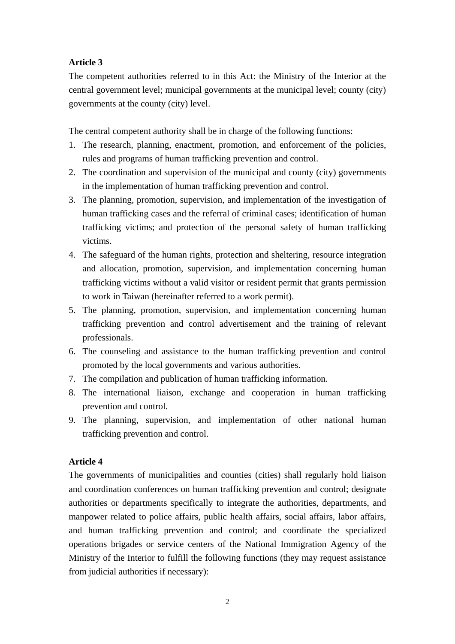The competent authorities referred to in this Act: the Ministry of the Interior at the central government level; municipal governments at the municipal level; county (city) governments at the county (city) level.

The central competent authority shall be in charge of the following functions:

- 1. The research, planning, enactment, promotion, and enforcement of the policies, rules and programs of human trafficking prevention and control.
- 2. The coordination and supervision of the municipal and county (city) governments in the implementation of human trafficking prevention and control.
- 3. The planning, promotion, supervision, and implementation of the investigation of human trafficking cases and the referral of criminal cases; identification of human trafficking victims; and protection of the personal safety of human trafficking victims.
- 4. The safeguard of the human rights, protection and sheltering, resource integration and allocation, promotion, supervision, and implementation concerning human trafficking victims without a valid visitor or resident permit that grants permission to work in Taiwan (hereinafter referred to a work permit).
- 5. The planning, promotion, supervision, and implementation concerning human trafficking prevention and control advertisement and the training of relevant professionals.
- 6. The counseling and assistance to the human trafficking prevention and control promoted by the local governments and various authorities.
- 7. The compilation and publication of human trafficking information.
- 8. The international liaison, exchange and cooperation in human trafficking prevention and control.
- 9. The planning, supervision, and implementation of other national human trafficking prevention and control.

## **Article 4**

The governments of municipalities and counties (cities) shall regularly hold liaison and coordination conferences on human trafficking prevention and control; designate authorities or departments specifically to integrate the authorities, departments, and manpower related to police affairs, public health affairs, social affairs, labor affairs, and human trafficking prevention and control; and coordinate the specialized operations brigades or service centers of the National Immigration Agency of the Ministry of the Interior to fulfill the following functions (they may request assistance from judicial authorities if necessary):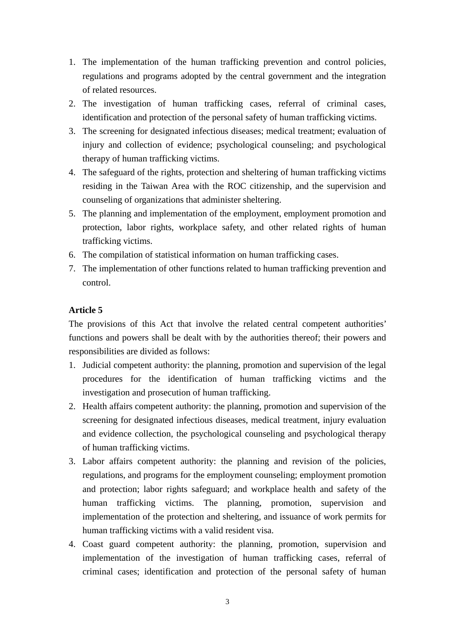- 1. The implementation of the human trafficking prevention and control policies, regulations and programs adopted by the central government and the integration of related resources.
- 2. The investigation of human trafficking cases, referral of criminal cases, identification and protection of the personal safety of human trafficking victims.
- 3. The screening for designated infectious diseases; medical treatment; evaluation of injury and collection of evidence; psychological counseling; and psychological therapy of human trafficking victims.
- 4. The safeguard of the rights, protection and sheltering of human trafficking victims residing in the Taiwan Area with the ROC citizenship, and the supervision and counseling of organizations that administer sheltering.
- 5. The planning and implementation of the employment, employment promotion and protection, labor rights, workplace safety, and other related rights of human trafficking victims.
- 6. The compilation of statistical information on human trafficking cases.
- 7. The implementation of other functions related to human trafficking prevention and control.

The provisions of this Act that involve the related central competent authorities' functions and powers shall be dealt with by the authorities thereof; their powers and responsibilities are divided as follows:

- 1. Judicial competent authority: the planning, promotion and supervision of the legal procedures for the identification of human trafficking victims and the investigation and prosecution of human trafficking.
- 2. Health affairs competent authority: the planning, promotion and supervision of the screening for designated infectious diseases, medical treatment, injury evaluation and evidence collection, the psychological counseling and psychological therapy of human trafficking victims.
- 3. Labor affairs competent authority: the planning and revision of the policies, regulations, and programs for the employment counseling; employment promotion and protection; labor rights safeguard; and workplace health and safety of the human trafficking victims. The planning, promotion, supervision and implementation of the protection and sheltering, and issuance of work permits for human trafficking victims with a valid resident visa.
- 4. Coast guard competent authority: the planning, promotion, supervision and implementation of the investigation of human trafficking cases, referral of criminal cases; identification and protection of the personal safety of human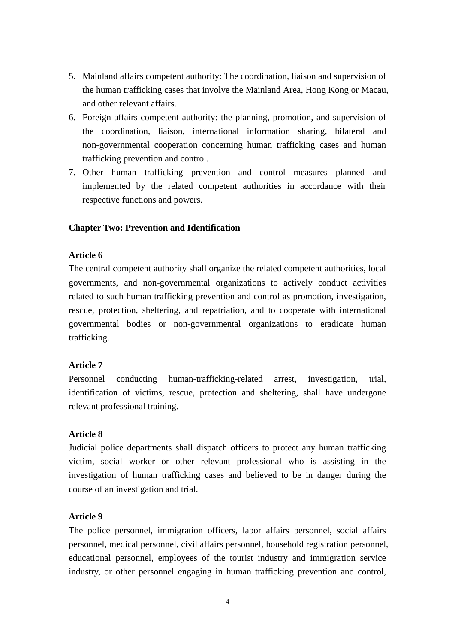- 5. Mainland affairs competent authority: The coordination, liaison and supervision of the human trafficking cases that involve the Mainland Area, Hong Kong or Macau, and other relevant affairs.
- 6. Foreign affairs competent authority: the planning, promotion, and supervision of the coordination, liaison, international information sharing, bilateral and non-governmental cooperation concerning human trafficking cases and human trafficking prevention and control.
- 7. Other human trafficking prevention and control measures planned and implemented by the related competent authorities in accordance with their respective functions and powers.

#### **Chapter Two: Prevention and Identification**

#### **Article 6**

The central competent authority shall organize the related competent authorities, local governments, and non-governmental organizations to actively conduct activities related to such human trafficking prevention and control as promotion, investigation, rescue, protection, sheltering, and repatriation, and to cooperate with international governmental bodies or non-governmental organizations to eradicate human trafficking.

#### **Article 7**

Personnel conducting human-trafficking-related arrest, investigation, trial, identification of victims, rescue, protection and sheltering, shall have undergone relevant professional training.

#### **Article 8**

Judicial police departments shall dispatch officers to protect any human trafficking victim, social worker or other relevant professional who is assisting in the investigation of human trafficking cases and believed to be in danger during the course of an investigation and trial.

#### **Article 9**

The police personnel, immigration officers, labor affairs personnel, social affairs personnel, medical personnel, civil affairs personnel, household registration personnel, educational personnel, employees of the tourist industry and immigration service industry, or other personnel engaging in human trafficking prevention and control,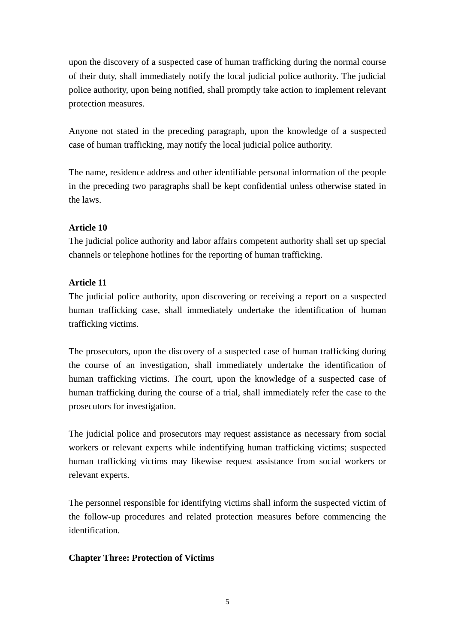upon the discovery of a suspected case of human trafficking during the normal course of their duty, shall immediately notify the local judicial police authority. The judicial police authority, upon being notified, shall promptly take action to implement relevant protection measures.

Anyone not stated in the preceding paragraph, upon the knowledge of a suspected case of human trafficking, may notify the local judicial police authority.

The name, residence address and other identifiable personal information of the people in the preceding two paragraphs shall be kept confidential unless otherwise stated in the laws.

## **Article 10**

The judicial police authority and labor affairs competent authority shall set up special channels or telephone hotlines for the reporting of human trafficking.

## **Article 11**

The judicial police authority, upon discovering or receiving a report on a suspected human trafficking case, shall immediately undertake the identification of human trafficking victims.

The prosecutors, upon the discovery of a suspected case of human trafficking during the course of an investigation, shall immediately undertake the identification of human trafficking victims. The court, upon the knowledge of a suspected case of human trafficking during the course of a trial, shall immediately refer the case to the prosecutors for investigation.

The judicial police and prosecutors may request assistance as necessary from social workers or relevant experts while indentifying human trafficking victims; suspected human trafficking victims may likewise request assistance from social workers or relevant experts.

The personnel responsible for identifying victims shall inform the suspected victim of the follow-up procedures and related protection measures before commencing the identification.

## **Chapter Three: Protection of Victims**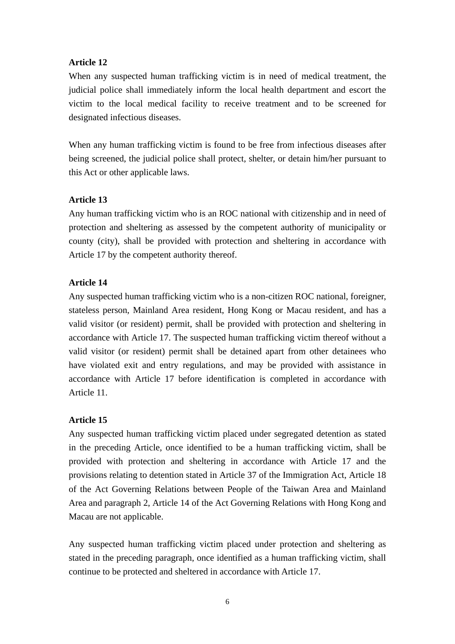When any suspected human trafficking victim is in need of medical treatment, the judicial police shall immediately inform the local health department and escort the victim to the local medical facility to receive treatment and to be screened for designated infectious diseases.

When any human trafficking victim is found to be free from infectious diseases after being screened, the judicial police shall protect, shelter, or detain him/her pursuant to this Act or other applicable laws.

### **Article 13**

Any human trafficking victim who is an ROC national with citizenship and in need of protection and sheltering as assessed by the competent authority of municipality or county (city), shall be provided with protection and sheltering in accordance with Article 17 by the competent authority thereof.

### **Article 14**

Any suspected human trafficking victim who is a non-citizen ROC national, foreigner, stateless person, Mainland Area resident, Hong Kong or Macau resident, and has a valid visitor (or resident) permit, shall be provided with protection and sheltering in accordance with Article 17. The suspected human trafficking victim thereof without a valid visitor (or resident) permit shall be detained apart from other detainees who have violated exit and entry regulations, and may be provided with assistance in accordance with Article 17 before identification is completed in accordance with Article 11.

## **Article 15**

Any suspected human trafficking victim placed under segregated detention as stated in the preceding Article, once identified to be a human trafficking victim, shall be provided with protection and sheltering in accordance with Article 17 and the provisions relating to detention stated in Article 37 of the Immigration Act, Article 18 of the Act Governing Relations between People of the Taiwan Area and Mainland Area and paragraph 2, Article 14 of the Act Governing Relations with Hong Kong and Macau are not applicable.

Any suspected human trafficking victim placed under protection and sheltering as stated in the preceding paragraph, once identified as a human trafficking victim, shall continue to be protected and sheltered in accordance with Article 17.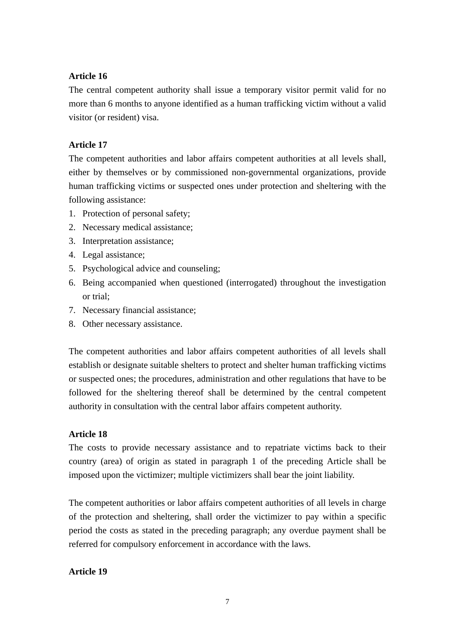The central competent authority shall issue a temporary visitor permit valid for no more than 6 months to anyone identified as a human trafficking victim without a valid visitor (or resident) visa.

## **Article 17**

The competent authorities and labor affairs competent authorities at all levels shall, either by themselves or by commissioned non-governmental organizations, provide human trafficking victims or suspected ones under protection and sheltering with the following assistance:

- 1. Protection of personal safety;
- 2. Necessary medical assistance;
- 3. Interpretation assistance;
- 4. Legal assistance;
- 5. Psychological advice and counseling;
- 6. Being accompanied when questioned (interrogated) throughout the investigation or trial;
- 7. Necessary financial assistance;
- 8. Other necessary assistance.

The competent authorities and labor affairs competent authorities of all levels shall establish or designate suitable shelters to protect and shelter human trafficking victims or suspected ones; the procedures, administration and other regulations that have to be followed for the sheltering thereof shall be determined by the central competent authority in consultation with the central labor affairs competent authority.

## **Article 18**

The costs to provide necessary assistance and to repatriate victims back to their country (area) of origin as stated in paragraph 1 of the preceding Article shall be imposed upon the victimizer; multiple victimizers shall bear the joint liability.

The competent authorities or labor affairs competent authorities of all levels in charge of the protection and sheltering, shall order the victimizer to pay within a specific period the costs as stated in the preceding paragraph; any overdue payment shall be referred for compulsory enforcement in accordance with the laws.

## **Article 19**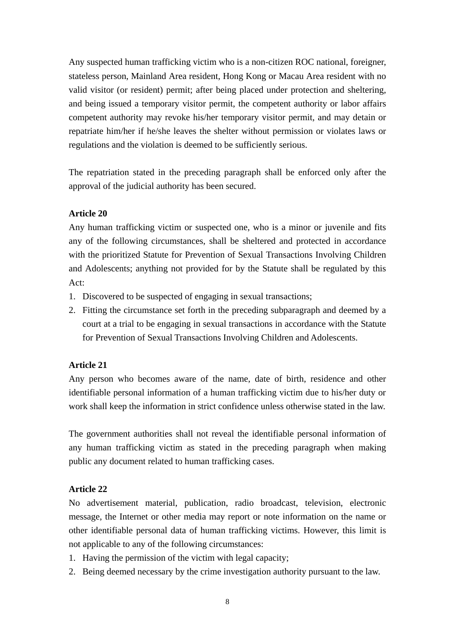Any suspected human trafficking victim who is a non-citizen ROC national, foreigner, stateless person, Mainland Area resident, Hong Kong or Macau Area resident with no valid visitor (or resident) permit; after being placed under protection and sheltering, and being issued a temporary visitor permit, the competent authority or labor affairs competent authority may revoke his/her temporary visitor permit, and may detain or repatriate him/her if he/she leaves the shelter without permission or violates laws or regulations and the violation is deemed to be sufficiently serious.

The repatriation stated in the preceding paragraph shall be enforced only after the approval of the judicial authority has been secured.

### **Article 20**

Any human trafficking victim or suspected one, who is a minor or juvenile and fits any of the following circumstances, shall be sheltered and protected in accordance with the prioritized Statute for Prevention of Sexual Transactions Involving Children and Adolescents; anything not provided for by the Statute shall be regulated by this Act:

- 1. Discovered to be suspected of engaging in sexual transactions;
- 2. Fitting the circumstance set forth in the preceding subparagraph and deemed by a court at a trial to be engaging in sexual transactions in accordance with the Statute for Prevention of Sexual Transactions Involving Children and Adolescents.

## **Article 21**

Any person who becomes aware of the name, date of birth, residence and other identifiable personal information of a human trafficking victim due to his/her duty or work shall keep the information in strict confidence unless otherwise stated in the law.

The government authorities shall not reveal the identifiable personal information of any human trafficking victim as stated in the preceding paragraph when making public any document related to human trafficking cases.

## **Article 22**

No advertisement material, publication, radio broadcast, television, electronic message, the Internet or other media may report or note information on the name or other identifiable personal data of human trafficking victims. However, this limit is not applicable to any of the following circumstances:

- 1. Having the permission of the victim with legal capacity;
- 2. Being deemed necessary by the crime investigation authority pursuant to the law.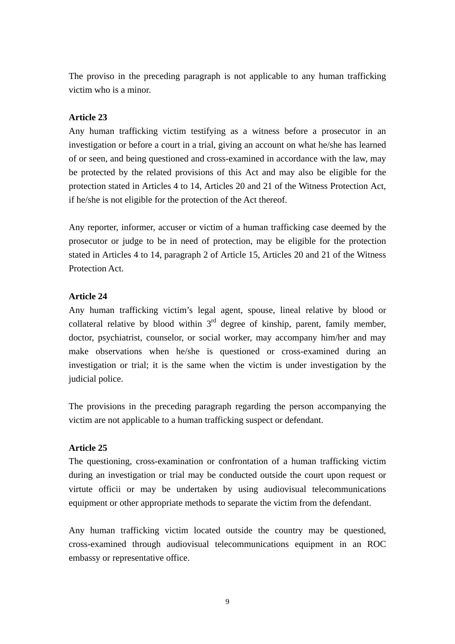The proviso in the preceding paragraph is not applicable to any human trafficking victim who is a minor.

### **Article 23**

Any human trafficking victim testifying as a witness before a prosecutor in an investigation or before a court in a trial, giving an account on what he/she has learned of or seen, and being questioned and cross-examined in accordance with the law, may be protected by the related provisions of this Act and may also be eligible for the protection stated in Articles 4 to 14, Articles 20 and 21 of the Witness Protection Act, if he/she is not eligible for the protection of the Act thereof.

Any reporter, informer, accuser or victim of a human trafficking case deemed by the prosecutor or judge to be in need of protection, may be eligible for the protection stated in Articles 4 to 14, paragraph 2 of Article 15, Articles 20 and 21 of the Witness Protection Act.

#### **Article 24**

Any human trafficking victim's legal agent, spouse, lineal relative by blood or collateral relative by blood within  $3<sup>rd</sup>$  degree of kinship, parent, family member, doctor, psychiatrist, counselor, or social worker, may accompany him/her and may make observations when he/she is questioned or cross-examined during an investigation or trial; it is the same when the victim is under investigation by the judicial police.

The provisions in the preceding paragraph regarding the person accompanying the victim are not applicable to a human trafficking suspect or defendant.

## **Article 25**

The questioning, cross-examination or confrontation of a human trafficking victim during an investigation or trial may be conducted outside the court upon request or virtute officii or may be undertaken by using audiovisual telecommunications equipment or other appropriate methods to separate the victim from the defendant.

Any human trafficking victim located outside the country may be questioned, cross-examined through audiovisual telecommunications equipment in an ROC embassy or representative office.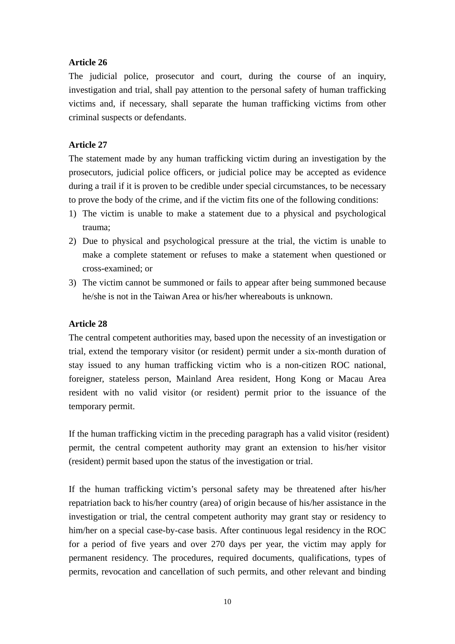The judicial police, prosecutor and court, during the course of an inquiry, investigation and trial, shall pay attention to the personal safety of human trafficking victims and, if necessary, shall separate the human trafficking victims from other criminal suspects or defendants.

## **Article 27**

The statement made by any human trafficking victim during an investigation by the prosecutors, judicial police officers, or judicial police may be accepted as evidence during a trail if it is proven to be credible under special circumstances, to be necessary to prove the body of the crime, and if the victim fits one of the following conditions:

- 1) The victim is unable to make a statement due to a physical and psychological trauma;
- 2) Due to physical and psychological pressure at the trial, the victim is unable to make a complete statement or refuses to make a statement when questioned or cross-examined; or
- 3) The victim cannot be summoned or fails to appear after being summoned because he/she is not in the Taiwan Area or his/her whereabouts is unknown.

#### **Article 28**

The central competent authorities may, based upon the necessity of an investigation or trial, extend the temporary visitor (or resident) permit under a six-month duration of stay issued to any human trafficking victim who is a non-citizen ROC national, foreigner, stateless person, Mainland Area resident, Hong Kong or Macau Area resident with no valid visitor (or resident) permit prior to the issuance of the temporary permit.

If the human trafficking victim in the preceding paragraph has a valid visitor (resident) permit, the central competent authority may grant an extension to his/her visitor (resident) permit based upon the status of the investigation or trial.

If the human trafficking victim's personal safety may be threatened after his/her repatriation back to his/her country (area) of origin because of his/her assistance in the investigation or trial, the central competent authority may grant stay or residency to him/her on a special case-by-case basis. After continuous legal residency in the ROC for a period of five years and over 270 days per year, the victim may apply for permanent residency. The procedures, required documents, qualifications, types of permits, revocation and cancellation of such permits, and other relevant and binding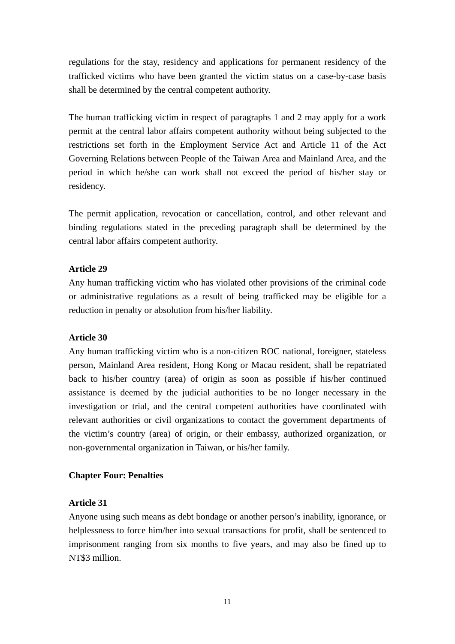regulations for the stay, residency and applications for permanent residency of the trafficked victims who have been granted the victim status on a case-by-case basis shall be determined by the central competent authority.

The human trafficking victim in respect of paragraphs 1 and 2 may apply for a work permit at the central labor affairs competent authority without being subjected to the restrictions set forth in the Employment Service Act and Article 11 of the Act Governing Relations between People of the Taiwan Area and Mainland Area, and the period in which he/she can work shall not exceed the period of his/her stay or residency.

The permit application, revocation or cancellation, control, and other relevant and binding regulations stated in the preceding paragraph shall be determined by the central labor affairs competent authority.

## **Article 29**

Any human trafficking victim who has violated other provisions of the criminal code or administrative regulations as a result of being trafficked may be eligible for a reduction in penalty or absolution from his/her liability.

#### **Article 30**

Any human trafficking victim who is a non-citizen ROC national, foreigner, stateless person, Mainland Area resident, Hong Kong or Macau resident, shall be repatriated back to his/her country (area) of origin as soon as possible if his/her continued assistance is deemed by the judicial authorities to be no longer necessary in the investigation or trial, and the central competent authorities have coordinated with relevant authorities or civil organizations to contact the government departments of the victim's country (area) of origin, or their embassy, authorized organization, or non-governmental organization in Taiwan, or his/her family.

## **Chapter Four: Penalties**

## **Article 31**

Anyone using such means as debt bondage or another person's inability, ignorance, or helplessness to force him/her into sexual transactions for profit, shall be sentenced to imprisonment ranging from six months to five years, and may also be fined up to NT\$3 million.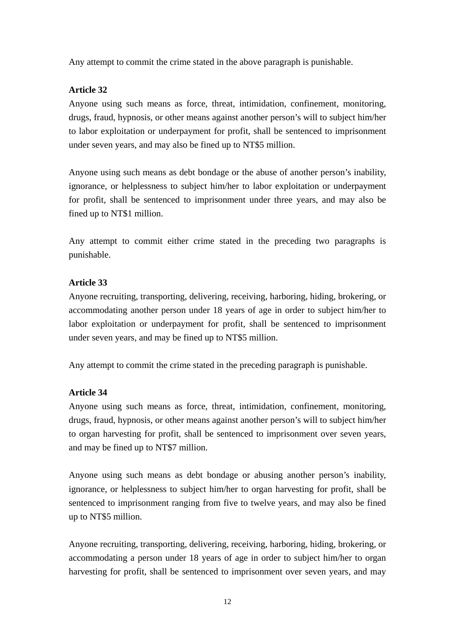Any attempt to commit the crime stated in the above paragraph is punishable.

## **Article 32**

Anyone using such means as force, threat, intimidation, confinement, monitoring, drugs, fraud, hypnosis, or other means against another person's will to subject him/her to labor exploitation or underpayment for profit, shall be sentenced to imprisonment under seven years, and may also be fined up to NT\$5 million.

Anyone using such means as debt bondage or the abuse of another person's inability, ignorance, or helplessness to subject him/her to labor exploitation or underpayment for profit, shall be sentenced to imprisonment under three years, and may also be fined up to NT\$1 million.

Any attempt to commit either crime stated in the preceding two paragraphs is punishable.

### **Article 33**

Anyone recruiting, transporting, delivering, receiving, harboring, hiding, brokering, or accommodating another person under 18 years of age in order to subject him/her to labor exploitation or underpayment for profit, shall be sentenced to imprisonment under seven years, and may be fined up to NT\$5 million.

Any attempt to commit the crime stated in the preceding paragraph is punishable.

## **Article 34**

Anyone using such means as force, threat, intimidation, confinement, monitoring, drugs, fraud, hypnosis, or other means against another person's will to subject him/her to organ harvesting for profit, shall be sentenced to imprisonment over seven years, and may be fined up to NT\$7 million.

Anyone using such means as debt bondage or abusing another person's inability, ignorance, or helplessness to subject him/her to organ harvesting for profit, shall be sentenced to imprisonment ranging from five to twelve years, and may also be fined up to NT\$5 million.

Anyone recruiting, transporting, delivering, receiving, harboring, hiding, brokering, or accommodating a person under 18 years of age in order to subject him/her to organ harvesting for profit, shall be sentenced to imprisonment over seven years, and may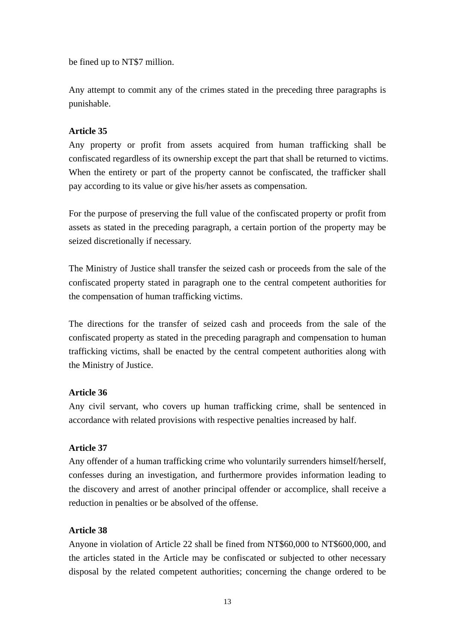be fined up to NT\$7 million.

Any attempt to commit any of the crimes stated in the preceding three paragraphs is punishable.

## **Article 35**

Any property or profit from assets acquired from human trafficking shall be confiscated regardless of its ownership except the part that shall be returned to victims. When the entirety or part of the property cannot be confiscated, the trafficker shall pay according to its value or give his/her assets as compensation.

For the purpose of preserving the full value of the confiscated property or profit from assets as stated in the preceding paragraph, a certain portion of the property may be seized discretionally if necessary.

The Ministry of Justice shall transfer the seized cash or proceeds from the sale of the confiscated property stated in paragraph one to the central competent authorities for the compensation of human trafficking victims.

The directions for the transfer of seized cash and proceeds from the sale of the confiscated property as stated in the preceding paragraph and compensation to human trafficking victims, shall be enacted by the central competent authorities along with the Ministry of Justice.

## **Article 36**

Any civil servant, who covers up human trafficking crime, shall be sentenced in accordance with related provisions with respective penalties increased by half.

## **Article 37**

Any offender of a human trafficking crime who voluntarily surrenders himself/herself, confesses during an investigation, and furthermore provides information leading to the discovery and arrest of another principal offender or accomplice, shall receive a reduction in penalties or be absolved of the offense.

## **Article 38**

Anyone in violation of Article 22 shall be fined from NT\$60,000 to NT\$600,000, and the articles stated in the Article may be confiscated or subjected to other necessary disposal by the related competent authorities; concerning the change ordered to be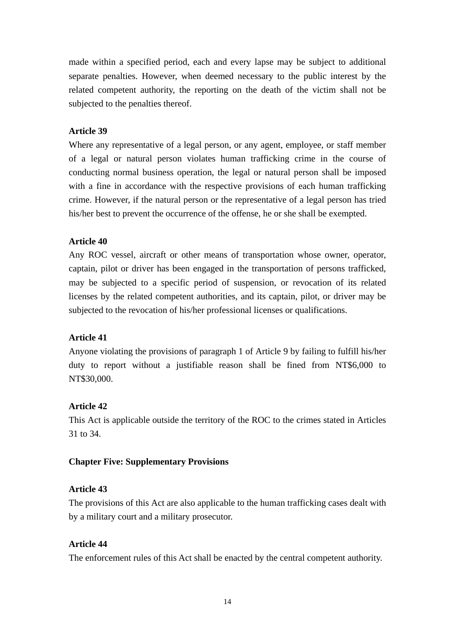made within a specified period, each and every lapse may be subject to additional separate penalties. However, when deemed necessary to the public interest by the related competent authority, the reporting on the death of the victim shall not be subjected to the penalties thereof.

## **Article 39**

Where any representative of a legal person, or any agent, employee, or staff member of a legal or natural person violates human trafficking crime in the course of conducting normal business operation, the legal or natural person shall be imposed with a fine in accordance with the respective provisions of each human trafficking crime. However, if the natural person or the representative of a legal person has tried his/her best to prevent the occurrence of the offense, he or she shall be exempted.

## **Article 40**

Any ROC vessel, aircraft or other means of transportation whose owner, operator, captain, pilot or driver has been engaged in the transportation of persons trafficked, may be subjected to a specific period of suspension, or revocation of its related licenses by the related competent authorities, and its captain, pilot, or driver may be subjected to the revocation of his/her professional licenses or qualifications.

## **Article 41**

Anyone violating the provisions of paragraph 1 of Article 9 by failing to fulfill his/her duty to report without a justifiable reason shall be fined from NT\$6,000 to NT\$30,000.

## **Article 42**

This Act is applicable outside the territory of the ROC to the crimes stated in Articles 31 to 34.

## **Chapter Five: Supplementary Provisions**

## **Article 43**

The provisions of this Act are also applicable to the human trafficking cases dealt with by a military court and a military prosecutor.

## **Article 44**

The enforcement rules of this Act shall be enacted by the central competent authority.